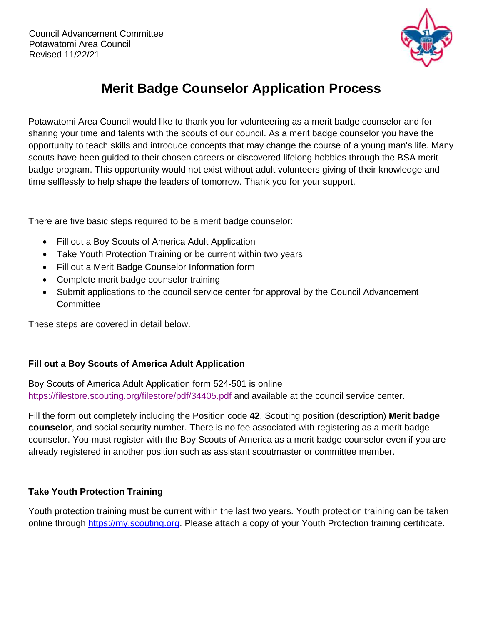

# **Merit Badge Counselor Application Process**

Potawatomi Area Council would like to thank you for volunteering as a merit badge counselor and for sharing your time and talents with the scouts of our council. As a merit badge counselor you have the opportunity to teach skills and introduce concepts that may change the course of a young man's life. Many scouts have been guided to their chosen careers or discovered lifelong hobbies through the BSA merit badge program. This opportunity would not exist without adult volunteers giving of their knowledge and time selflessly to help shape the leaders of tomorrow. Thank you for your support.

There are five basic steps required to be a merit badge counselor:

- Fill out a Boy Scouts of America Adult Application
- Take Youth Protection Training or be current within two years
- Fill out a Merit Badge Counselor Information form
- Complete merit badge counselor training
- Submit applications to the council service center for approval by the Council Advancement **Committee**

These steps are covered in detail below.

## **Fill out a Boy Scouts of America Adult Application**

Boy Scouts of America Adult Application form 524-501 is online <https://filestore.scouting.org/filestore/pdf/34405.pdf> and available at the council service center.

Fill the form out completely including the Position code **42**, Scouting position (description) **Merit badge counselor**, and social security number. There is no fee associated with registering as a merit badge counselor. You must register with the Boy Scouts of America as a merit badge counselor even if you are already registered in another position such as assistant scoutmaster or committee member.

## **Take Youth Protection Training**

Youth protection training must be current within the last two years. Youth protection training can be taken online through [https://my.scouting.org.](https://my.scouting.org/) Please attach a copy of your Youth Protection training certificate.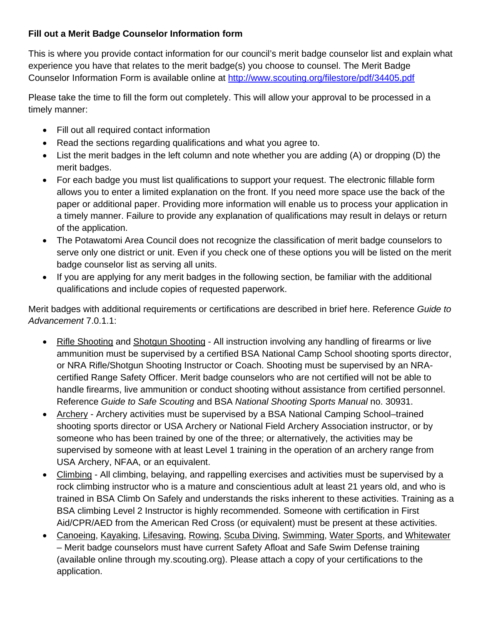## **Fill out a Merit Badge Counselor Information form**

This is where you provide contact information for our council's merit badge counselor list and explain what experience you have that relates to the merit badge(s) you choose to counsel. The Merit Badge Counselor Information Form is available online at<http://www.scouting.org/filestore/pdf/34405.pdf>

Please take the time to fill the form out completely. This will allow your approval to be processed in a timely manner:

- Fill out all required contact information
- Read the sections regarding qualifications and what you agree to.
- List the merit badges in the left column and note whether you are adding (A) or dropping (D) the merit badges.
- For each badge you must list qualifications to support your request. The electronic fillable form allows you to enter a limited explanation on the front. If you need more space use the back of the paper or additional paper. Providing more information will enable us to process your application in a timely manner. Failure to provide any explanation of qualifications may result in delays or return of the application.
- The Potawatomi Area Council does not recognize the classification of merit badge counselors to serve only one district or unit. Even if you check one of these options you will be listed on the merit badge counselor list as serving all units.
- If you are applying for any merit badges in the following section, be familiar with the additional qualifications and include copies of requested paperwork.

Merit badges with additional requirements or certifications are described in brief here. Reference *Guide to Advancement* 7.0.1.1:

- Rifle Shooting and Shotgun Shooting All instruction involving any handling of firearms or live ammunition must be supervised by a certified BSA National Camp School shooting sports director, or NRA Rifle/Shotgun Shooting Instructor or Coach. Shooting must be supervised by an NRAcertified Range Safety Officer. Merit badge counselors who are not certified will not be able to handle firearms, live ammunition or conduct shooting without assistance from certified personnel. Reference *Guide to Safe Scouting* and BSA *National Shooting Sports Manual* no. 30931.
- Archery Archery activities must be supervised by a BSA National Camping School–trained shooting sports director or USA Archery or National Field Archery Association instructor, or by someone who has been trained by one of the three; or alternatively, the activities may be supervised by someone with at least Level 1 training in the operation of an archery range from USA Archery, NFAA, or an equivalent.
- Climbing All climbing, belaying, and rappelling exercises and activities must be supervised by a rock climbing instructor who is a mature and conscientious adult at least 21 years old, and who is trained in BSA Climb On Safely and understands the risks inherent to these activities. Training as a BSA climbing Level 2 Instructor is highly recommended. Someone with certification in First Aid/CPR/AED from the American Red Cross (or equivalent) must be present at these activities.
- Canoeing, Kayaking, Lifesaving, Rowing, Scuba Diving, Swimming, Water Sports, and Whitewater – Merit badge counselors must have current Safety Afloat and Safe Swim Defense training (available online through my.scouting.org). Please attach a copy of your certifications to the application.